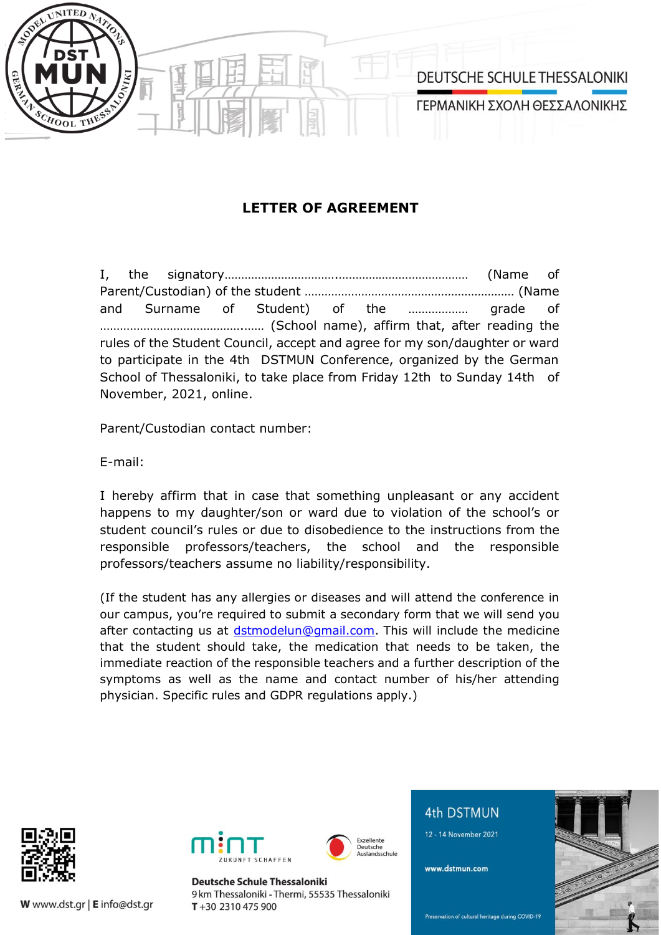

## **LETTER OF AGREEMENT**

I, the signatory…………………………….………………………………… (Name of Parent/Custodian) of the student ……………………………………………………… (Name and Surname of Student) of the ……………… grade of …………………………………….…… (School name), affirm that, after reading the rules of the Student Council, accept and agree for my son/daughter or ward to participate in the 4th DSTMUN Conference, organized by the German School of Thessaloniki, to take place from Friday 12th to Sunday 14th of November, 2021, online.

Parent/Custodian contact number:

E-mail:

I hereby affirm that in case that something unpleasant or any accident happens to my daughter/son or ward due to violation of the school's or student council's rules or due to disobedience to the instructions from the responsible professors/teachers, the school and the responsible professors/teachers assume no liability/responsibility.

(If the student has any allergies or diseases and will attend the conference in our campus, you're required to submit a secondary form that we will send you after contacting us at [dstmodelun@gmail.com.](mailto:dstmodelun@gmail.com) This will include the medicine that the student should take, the medication that needs to be taken, the immediate reaction of the responsible teachers and a further description of the symptoms as well as the name and contact number of his/her attending physician. Specific rules and GDPR regulations apply.)



W www.dst.gr | E info@dst.gr





**Deutsche Schule Thessaloniki** 9 km Thessaloniki - Thermi, 55535 Thessaloniki  $T + 302310475900$ 

## **4th DSTMUN**

12 - 14 November 2021

www.dstmun.com



Preservation of cultural heritage during COVID-19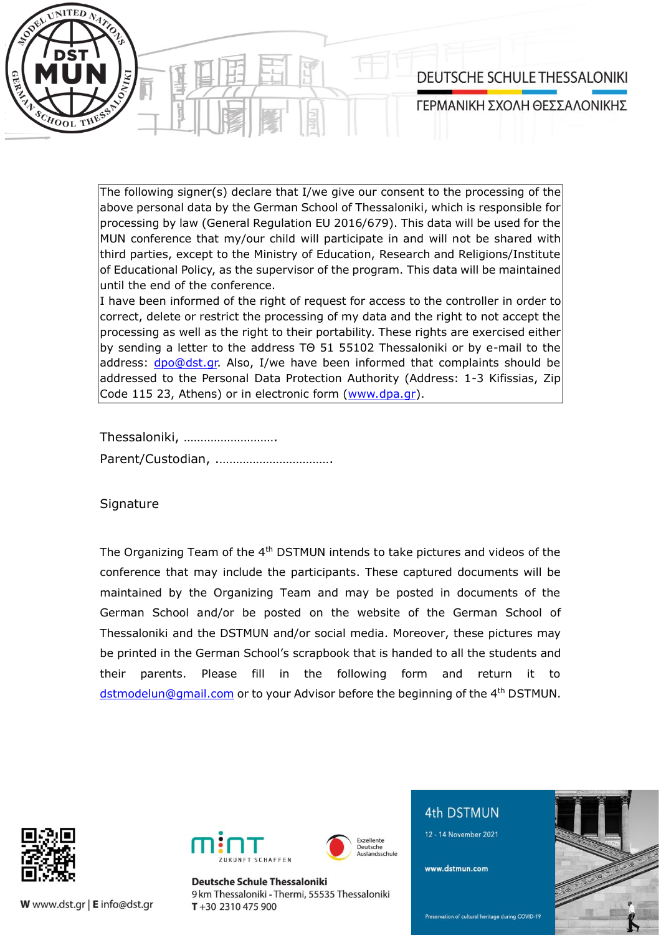

The following signer(s) declare that I/we give our consent to the processing of the above personal data by the German School of Thessaloniki, which is responsible for processing by law (General Regulation EU 2016/679). This data will be used for the MUN conference that my/our child will participate in and will not be shared with third parties, except to the Ministry of Education, Research and Religions/Institute of Educational Policy, as the supervisor of the program. This data will be maintained until the end of the conference.

I have been informed of the right of request for access to the controller in order to correct, delete or restrict the processing of my data and the right to not accept the processing as well as the right to their portability. These rights are exercised either by sending a letter to the address ΤΘ 51 55102 Thessaloniki or by e-mail to the address: [dpo@dst.gr.](mailto:dpo@dst.gr) Also, I/we have been informed that complaints should be addressed to the Personal Data Protection Authority (Address: 1-3 Kifissias, Zip Code 115 23, Athens) or in electronic form [\(www.dpa.gr\)](http://www.dpa.gr/).

Thessaloniki, ……………………….

Parent/Custodian, .…………………………….

**Signature** 

The Organizing Team of the 4<sup>th</sup> DSTMUN intends to take pictures and videos of the conference that may include the participants. These captured documents will be maintained by the Organizing Team and may be posted in documents of the German School and/or be posted on the website of the German School of Thessaloniki and the DSTMUN and/or social media. Moreover, these pictures may be printed in the German School's scrapbook that is handed to all the students and their parents. Please fill in the following form and return it to [dstmodelun@gmail.com](mailto:dstmodelun@gmail.com) or to your Advisor before the beginning of the 4<sup>th</sup> DSTMUN.

> Exzellente eutsche ndeechule



W www.dst.gr | E info@dst.gr



**Deutsche Schule Thessaloniki** 9 km Thessaloniki - Thermi, 55535 Thessaloniki  $T + 302310475900$ 



12 - 14 November 2021

www.dstmun.com



Preservation of cultural heritage during COVID-19